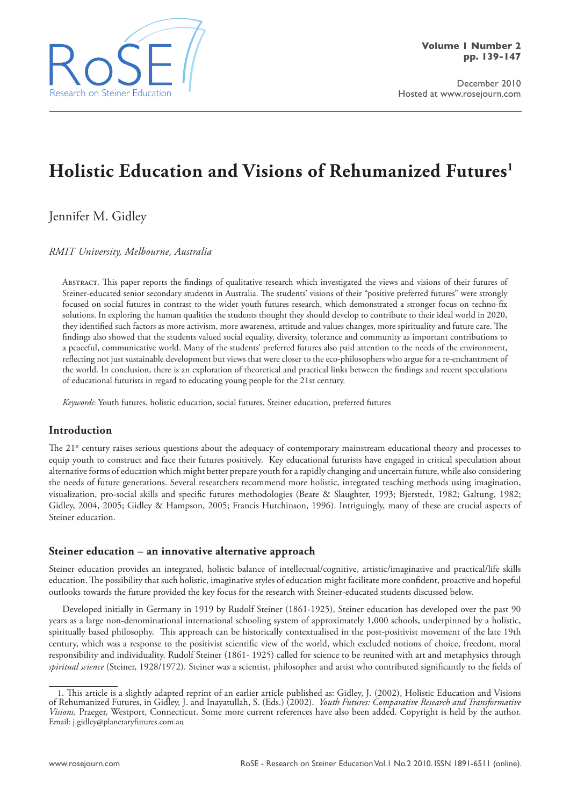

December 2010 Hosted at www.rosejourn.com

# **Holistic Education and Visions of Rehumanized Futures1**

Jennifer M. Gidley

*RMIT University, Melbourne, Australia*

Abstract. This paper reports the findings of qualitative research which investigated the views and visions of their futures of Steiner-educated senior secondary students in Australia. The students' visions of their "positive preferred futures" were strongly focused on social futures in contrast to the wider youth futures research, which demonstrated a stronger focus on techno-fix solutions. In exploring the human qualities the students thought they should develop to contribute to their ideal world in 2020, they identified such factors as more activism, more awareness, attitude and values changes, more spirituality and future care. The findings also showed that the students valued social equality, diversity, tolerance and community as important contributions to a peaceful, communicative world. Many of the students' preferred futures also paid attention to the needs of the environment, reflecting not just sustainable development but views that were closer to the eco-philosophers who argue for a re-enchantment of the world. In conclusion, there is an exploration of theoretical and practical links between the findings and recent speculations of educational futurists in regard to educating young people for the 21st century.

*Keywords*: Youth futures, holistic education, social futures, Steiner education, preferred futures

# **Introduction**

The 21<sup>st</sup> century raises serious questions about the adequacy of contemporary mainstream educational theory and processes to equip youth to construct and face their futures positively. Key educational futurists have engaged in critical speculation about alternative forms of education which might better prepare youth for a rapidly changing and uncertain future, while also considering the needs of future generations. Several researchers recommend more holistic, integrated teaching methods using imagination, visualization, pro-social skills and specific futures methodologies (Beare & Slaughter, 1993; Bjerstedt, 1982; Galtung, 1982; Gidley, 2004, 2005; Gidley & Hampson, 2005; Francis Hutchinson, 1996). Intriguingly, many of these are crucial aspects of Steiner education.

## **Steiner education – an innovative alternative approach**

Steiner education provides an integrated, holistic balance of intellectual/cognitive, artistic/imaginative and practical/life skills education. The possibility that such holistic, imaginative styles of education might facilitate more confident, proactive and hopeful outlooks towards the future provided the key focus for the research with Steiner-educated students discussed below.

Developed initially in Germany in 1919 by Rudolf Steiner (1861-1925), Steiner education has developed over the past 90 years as a large non-denominational international schooling system of approximately 1,000 schools, underpinned by a holistic, spiritually based philosophy. This approach can be historically contextualised in the post-positivist movement of the late 19th century, which was a response to the positivist scientific view of the world, which excluded notions of choice, freedom, moral responsibility and individuality. Rudolf Steiner (1861- 1925) called for science to be reunited with art and metaphysics through *spiritual science* (Steiner, 1928/1972). Steiner was a scientist, philosopher and artist who contributed significantly to the fields of

<sup>1.</sup> This article is a slightly adapted reprint of an earlier article published as: Gidley, J. (2002), Holistic Education and Visions of Rehumanized Futures, in Gidley, J. and Inayatullah, S. (Eds.) (2002). *Youth Futures: Comparative Research and Transformative Visions,* Praeger, Westport, Connecticut. Some more current references have also been added. Copyright is held by the author. Email: j.gidley@planetaryfutures.com.au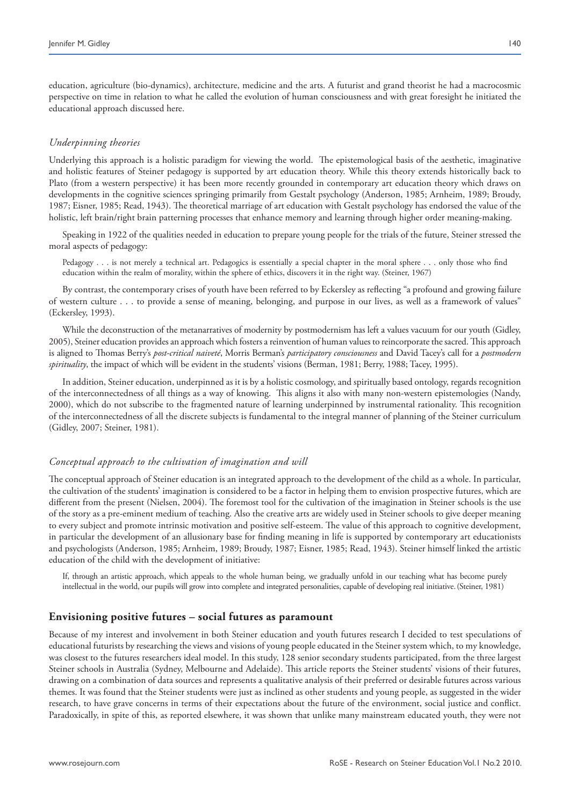education, agriculture (bio-dynamics), architecture, medicine and the arts. A futurist and grand theorist he had a macrocosmic perspective on time in relation to what he called the evolution of human consciousness and with great foresight he initiated the educational approach discussed here.

## *Underpinning theories*

Underlying this approach is a holistic paradigm for viewing the world. The epistemological basis of the aesthetic, imaginative and holistic features of Steiner pedagogy is supported by art education theory. While this theory extends historically back to Plato (from a western perspective) it has been more recently grounded in contemporary art education theory which draws on developments in the cognitive sciences springing primarily from Gestalt psychology (Anderson, 1985; Arnheim, 1989; Broudy, 1987; Eisner, 1985; Read, 1943). The theoretical marriage of art education with Gestalt psychology has endorsed the value of the holistic, left brain/right brain patterning processes that enhance memory and learning through higher order meaning-making.

Speaking in 1922 of the qualities needed in education to prepare young people for the trials of the future, Steiner stressed the moral aspects of pedagogy:

Pedagogy . . . is not merely a technical art. Pedagogics is essentially a special chapter in the moral sphere . . . only those who find education within the realm of morality, within the sphere of ethics, discovers it in the right way. (Steiner, 1967)

By contrast, the contemporary crises of youth have been referred to by Eckersley as reflecting "a profound and growing failure of western culture . . . to provide a sense of meaning, belonging, and purpose in our lives, as well as a framework of values" (Eckersley, 1993).

While the deconstruction of the metanarratives of modernity by postmodernism has left a values vacuum for our youth (Gidley, 2005), Steiner education provides an approach which fosters a reinvention of human values to reincorporate the sacred. This approach is aligned to Thomas Berry's *post-critical naiveté*, Morris Berman's *participatory consciousness* and David Tacey's call for a *postmodern spirituality*, the impact of which will be evident in the students' visions (Berman, 1981; Berry, 1988; Tacey, 1995).

In addition, Steiner education, underpinned as it is by a holistic cosmology, and spiritually based ontology, regards recognition of the interconnectedness of all things as a way of knowing. This aligns it also with many non-western epistemologies (Nandy, 2000), which do not subscribe to the fragmented nature of learning underpinned by instrumental rationality. This recognition of the interconnectedness of all the discrete subjects is fundamental to the integral manner of planning of the Steiner curriculum (Gidley, 2007; Steiner, 1981).

## *Conceptual approach to the cultivation of imagination and will*

The conceptual approach of Steiner education is an integrated approach to the development of the child as a whole. In particular, the cultivation of the students' imagination is considered to be a factor in helping them to envision prospective futures, which are different from the present (Nielsen, 2004). The foremost tool for the cultivation of the imagination in Steiner schools is the use of the story as a pre-eminent medium of teaching. Also the creative arts are widely used in Steiner schools to give deeper meaning to every subject and promote intrinsic motivation and positive self-esteem. The value of this approach to cognitive development, in particular the development of an allusionary base for finding meaning in life is supported by contemporary art educationists and psychologists (Anderson, 1985; Arnheim, 1989; Broudy, 1987; Eisner, 1985; Read, 1943). Steiner himself linked the artistic education of the child with the development of initiative:

If, through an artistic approach, which appeals to the whole human being, we gradually unfold in our teaching what has become purely intellectual in the world, our pupils will grow into complete and integrated personalities, capable of developing real initiative.(Steiner, 1981)

## **Envisioning positive futures – social futures as paramount**

Because of my interest and involvement in both Steiner education and youth futures research I decided to test speculations of educational futurists by researching the views and visions of young people educated in the Steiner system which, to my knowledge, was closest to the futures researchers ideal model. In this study, 128 senior secondary students participated, from the three largest Steiner schools in Australia (Sydney, Melbourne and Adelaide). This article reports the Steiner students' visions of their futures, drawing on a combination of data sources and represents a qualitative analysis of their preferred or desirable futures across various themes. It was found that the Steiner students were just as inclined as other students and young people, as suggested in the wider research, to have grave concerns in terms of their expectations about the future of the environment, social justice and conflict. Paradoxically, in spite of this, as reported elsewhere, it was shown that unlike many mainstream educated youth, they were not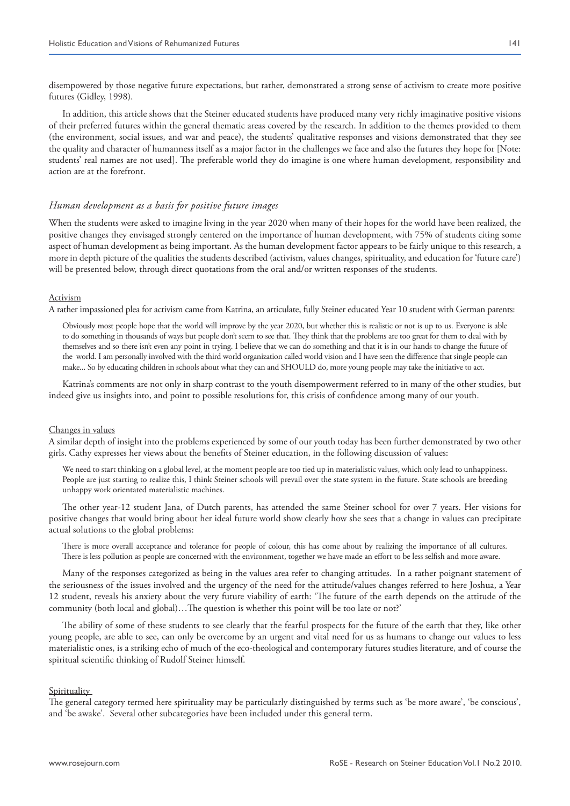disempowered by those negative future expectations, but rather, demonstrated a strong sense of activism to create more positive futures (Gidley, 1998).

In addition, this article shows that the Steiner educated students have produced many very richly imaginative positive visions of their preferred futures within the general thematic areas covered by the research. In addition to the themes provided to them (the environment, social issues, and war and peace), the students' qualitative responses and visions demonstrated that they see the quality and character of humanness itself as a major factor in the challenges we face and also the futures they hope for [Note: students' real names are not used]. The preferable world they do imagine is one where human development, responsibility and action are at the forefront.

## *Human development as a basis for positive future images*

When the students were asked to imagine living in the year 2020 when many of their hopes for the world have been realized, the positive changes they envisaged strongly centered on the importance of human development, with 75% of students citing some aspect of human development as being important. As the human development factor appears to be fairly unique to this research, a more in depth picture of the qualities the students described (activism, values changes, spirituality, and education for 'future care') will be presented below, through direct quotations from the oral and/or written responses of the students.

#### Activism

A rather impassioned plea for activism came from Katrina, an articulate, fully Steiner educated Year 10 student with German parents:

Obviously most people hope that the world will improve by the year 2020, but whether this is realistic or not is up to us. Everyone is able to do something in thousands of ways but people don't seem to see that. They think that the problems are too great for them to deal with by themselves and so there isn't even any point in trying. I believe that we can do something and that it is in our hands to change the future of the world. I am personally involved with the third world organization called world vision and I have seen the difference that single people can make... So by educating children in schools about what they can and SHOULD do, more young people may take the initiative to act.

Katrina's comments are not only in sharp contrast to the youth disempowerment referred to in many of the other studies, but indeed give us insights into, and point to possible resolutions for, this crisis of confidence among many of our youth.

#### Changes in values

A similar depth of insight into the problems experienced by some of our youth today has been further demonstrated by two other girls. Cathy expresses her views about the benefits of Steiner education, in the following discussion of values:

We need to start thinking on a global level, at the moment people are too tied up in materialistic values, which only lead to unhappiness. People are just starting to realize this, I think Steiner schools will prevail over the state system in the future. State schools are breeding unhappy work orientated materialistic machines.

The other year-12 student Jana, of Dutch parents, has attended the same Steiner school for over 7 years. Her visions for positive changes that would bring about her ideal future world show clearly how she sees that a change in values can precipitate actual solutions to the global problems:

There is more overall acceptance and tolerance for people of colour, this has come about by realizing the importance of all cultures. There is less pollution as people are concerned with the environment, together we have made an effort to be less selfish and more aware.

Many of the responses categorized as being in the values area refer to changing attitudes. In a rather poignant statement of the seriousness of the issues involved and the urgency of the need for the attitude/values changes referred to here Joshua, a Year 12 student, reveals his anxiety about the very future viability of earth: 'The future of the earth depends on the attitude of the community (both local and global)…The question is whether this point will be too late or not?'

The ability of some of these students to see clearly that the fearful prospects for the future of the earth that they, like other young people, are able to see, can only be overcome by an urgent and vital need for us as humans to change our values to less materialistic ones, is a striking echo of much of the eco-theological and contemporary futures studies literature, and of course the spiritual scientific thinking of Rudolf Steiner himself.

#### **Spirituality**

The general category termed here spirituality may be particularly distinguished by terms such as 'be more aware', 'be conscious', and 'be awake'. Several other subcategories have been included under this general term.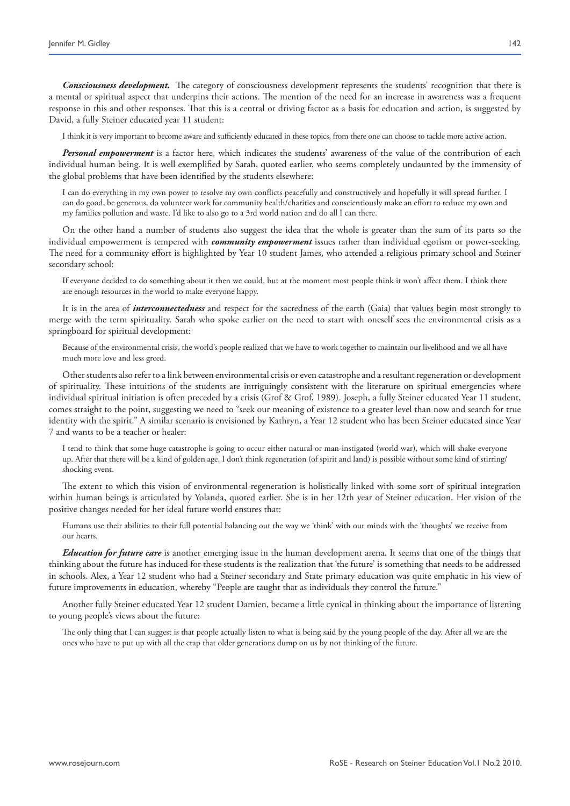*Consciousness development.* The category of consciousness development represents the students' recognition that there is a mental or spiritual aspect that underpins their actions. The mention of the need for an increase in awareness was a frequent response in this and other responses. That this is a central or driving factor as a basis for education and action, is suggested by David, a fully Steiner educated year 11 student:

I think it is very important to become aware and sufficiently educated in these topics, from there one can choose to tackle more active action.

*Personal empowerment* is a factor here, which indicates the students' awareness of the value of the contribution of each individual human being. It is well exemplified by Sarah, quoted earlier, who seems completely undaunted by the immensity of the global problems that have been identified by the students elsewhere:

I can do everything in my own power to resolve my own conflicts peacefully and constructively and hopefully it will spread further. I can do good, be generous, do volunteer work for community health/charities and conscientiously make an effort to reduce my own and my families pollution and waste. I'd like to also go to a 3rd world nation and do all I can there.

On the other hand a number of students also suggest the idea that the whole is greater than the sum of its parts so the individual empowerment is tempered with *community empowerment* issues rather than individual egotism or power-seeking. The need for a community effort is highlighted by Year 10 student James, who attended a religious primary school and Steiner secondary school:

If everyone decided to do something about it then we could, but at the moment most people think it won't affect them. I think there are enough resources in the world to make everyone happy.

It is in the area of *interconnectedness* and respect for the sacredness of the earth (Gaia) that values begin most strongly to merge with the term spirituality. Sarah who spoke earlier on the need to start with oneself sees the environmental crisis as a springboard for spiritual development:

Because of the environmental crisis, the world's people realized that we have to work together to maintain our livelihood and we all have much more love and less greed.

Other students also refer to a link between environmental crisis or even catastrophe and a resultant regeneration or development of spirituality. These intuitions of the students are intriguingly consistent with the literature on spiritual emergencies where individual spiritual initiation is often preceded by a crisis (Grof & Grof, 1989). Joseph, a fully Steiner educated Year 11 student, comes straight to the point, suggesting we need to "seek our meaning of existence to a greater level than now and search for true identity with the spirit." A similar scenario is envisioned by Kathryn, a Year 12 student who has been Steiner educated since Year 7 and wants to be a teacher or healer:

I tend to think that some huge catastrophe is going to occur either natural or man-instigated (world war), which will shake everyone up. After that there will be a kind of golden age. I don't think regeneration (of spirit and land) is possible without some kind of stirring/ shocking event.

The extent to which this vision of environmental regeneration is holistically linked with some sort of spiritual integration within human beings is articulated by Yolanda, quoted earlier. She is in her 12th year of Steiner education. Her vision of the positive changes needed for her ideal future world ensures that:

Humans use their abilities to their full potential balancing out the way we 'think' with our minds with the 'thoughts' we receive from our hearts.

*Education for future care* is another emerging issue in the human development arena. It seems that one of the things that thinking about the future has induced for these students is the realization that 'the future' is something that needs to be addressed in schools. Alex, a Year 12 student who had a Steiner secondary and State primary education was quite emphatic in his view of future improvements in education, whereby "People are taught that as individuals they control the future."

Another fully Steiner educated Year 12 student Damien, became a little cynical in thinking about the importance of listening to young people's views about the future:

The only thing that I can suggest is that people actually listen to what is being said by the young people of the day. After all we are the ones who have to put up with all the crap that older generations dump on us by not thinking of the future.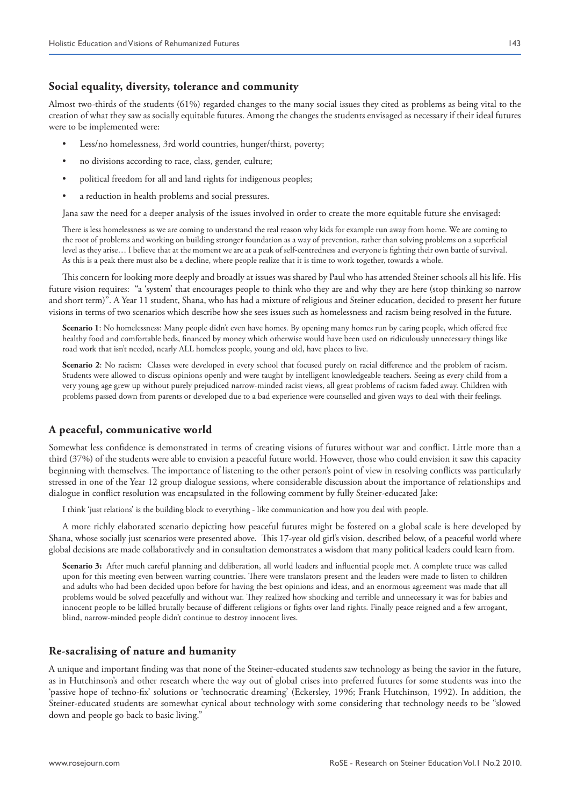## **Social equality, diversity, tolerance and community**

Almost two-thirds of the students (61%) regarded changes to the many social issues they cited as problems as being vital to the creation of what they saw as socially equitable futures. Among the changes the students envisaged as necessary if their ideal futures were to be implemented were:

- Less/no homelessness, 3rd world countries, hunger/thirst, poverty;
- no divisions according to race, class, gender, culture;
- political freedom for all and land rights for indigenous peoples;
- a reduction in health problems and social pressures.

Jana saw the need for a deeper analysis of the issues involved in order to create the more equitable future she envisaged:

There is less homelessness as we are coming to understand the real reason why kids for example run away from home. We are coming to the root of problems and working on building stronger foundation as a way of prevention, rather than solving problems on a superficial level as they arise… I believe that at the moment we are at a peak of self-centredness and everyone is fighting their own battle of survival. As this is a peak there must also be a decline, where people realize that it is time to work together, towards a whole.

This concern for looking more deeply and broadly at issues was shared by Paul who has attended Steiner schools all his life. His future vision requires: "a 'system' that encourages people to think who they are and why they are here (stop thinking so narrow and short term)". A Year 11 student, Shana, who has had a mixture of religious and Steiner education, decided to present her future visions in terms of two scenarios which describe how she sees issues such as homelessness and racism being resolved in the future.

**Scenario 1**: No homelessness: Many people didn't even have homes. By opening many homes run by caring people, which offered free healthy food and comfortable beds, financed by money which otherwise would have been used on ridiculously unnecessary things like road work that isn't needed, nearly ALL homeless people, young and old, have places to live.

Scenario 2: No racism: Classes were developed in every school that focused purely on racial difference and the problem of racism. Students were allowed to discuss opinions openly and were taught by intelligent knowledgeable teachers. Seeing as every child from a very young age grew up without purely prejudiced narrow-minded racist views, all great problems of racism faded away. Children with problems passed down from parents or developed due to a bad experience were counselled and given ways to deal with their feelings.

## **A peaceful, communicative world**

Somewhat less confidence is demonstrated in terms of creating visions of futures without war and conflict. Little more than a third (37%) of the students were able to envision a peaceful future world. However, those who could envision it saw this capacity beginning with themselves. The importance of listening to the other person's point of view in resolving conflicts was particularly stressed in one of the Year 12 group dialogue sessions, where considerable discussion about the importance of relationships and dialogue in conflict resolution was encapsulated in the following comment by fully Steiner-educated Jake:

I think 'just relations' is the building block to everything - like communication and how you deal with people.

A more richly elaborated scenario depicting how peaceful futures might be fostered on a global scale is here developed by Shana, whose socially just scenarios were presented above. This 17-year old girl's vision, described below, of a peaceful world where global decisions are made collaboratively and in consultation demonstrates a wisdom that many political leaders could learn from.

**Scenario 3:** After much careful planning and deliberation, all world leaders and influential people met. A complete truce was called upon for this meeting even between warring countries. There were translators present and the leaders were made to listen to children and adults who had been decided upon before for having the best opinions and ideas, and an enormous agreement was made that all problems would be solved peacefully and without war. They realized how shocking and terrible and unnecessary it was for babies and innocent people to be killed brutally because of different religions or fights over land rights. Finally peace reigned and a few arrogant, blind, narrow-minded people didn't continue to destroy innocent lives.

## **Re-sacralising of nature and humanity**

A unique and important finding was that none of the Steiner-educated students saw technology as being the savior in the future, as in Hutchinson's and other research where the way out of global crises into preferred futures for some students was into the 'passive hope of techno-fix' solutions or 'technocratic dreaming' (Eckersley, 1996; Frank Hutchinson, 1992). In addition, the Steiner-educated students are somewhat cynical about technology with some considering that technology needs to be "slowed down and people go back to basic living."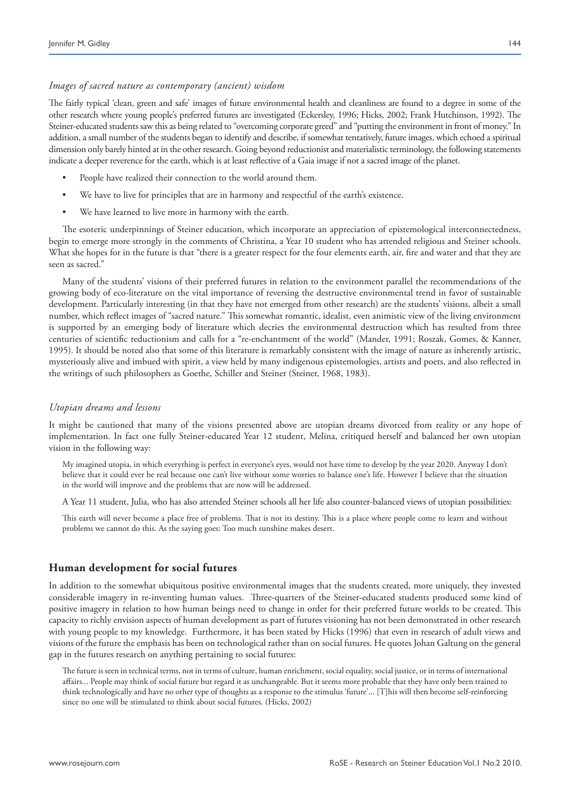## *Images of sacred nature as contemporary (ancient) wisdom*

The fairly typical 'clean, green and safe' images of future environmental health and cleanliness are found to a degree in some of the other research where young people's preferred futures are investigated (Eckersley, 1996; Hicks, 2002; Frank Hutchinson, 1992). The Steiner-educated students saw this as being related to "overcoming corporate greed" and "putting the environment in front of money." In addition, a small number of the students began to identify and describe, if somewhat tentatively, future images, which echoed a spiritual dimension only barely hinted at in the other research. Going beyond reductionist and materialistic terminology, the following statements indicate a deeper reverence for the earth, which is at least reflective of a Gaia image if not a sacred image of the planet.

- People have realized their connection to the world around them.
- We have to live for principles that are in harmony and respectful of the earth's existence.
- We have learned to live more in harmony with the earth.

The esoteric underpinnings of Steiner education, which incorporate an appreciation of epistemological interconnectedness, begin to emerge more strongly in the comments of Christina, a Year 10 student who has attended religious and Steiner schools. What she hopes for in the future is that "there is a greater respect for the four elements earth, air, fire and water and that they are seen as sacred."

Many of the students' visions of their preferred futures in relation to the environment parallel the recommendations of the growing body of eco-literature on the vital importance of reversing the destructive environmental trend in favor of sustainable development. Particularly interesting (in that they have not emerged from other research) are the students' visions, albeit a small number, which reflect images of "sacred nature." This somewhat romantic, idealist, even animistic view of the living environment is supported by an emerging body of literature which decries the environmental destruction which has resulted from three centuries of scientific reductionism and calls for a "re-enchantment of the world" (Mander, 1991; Roszak, Gomes, & Kanner, 1995). It should be noted also that some of this literature is remarkably consistent with the image of nature as inherently artistic, mysteriously alive and imbued with spirit, a view held by many indigenous epistemologies, artists and poets, and also reflected in the writings of such philosophers as Goethe, Schiller and Steiner (Steiner, 1968, 1983).

### *Utopian dreams and lessons*

It might be cautioned that many of the visions presented above are utopian dreams divorced from reality or any hope of implementation. In fact one fully Steiner-educated Year 12 student, Melina, critiqued herself and balanced her own utopian vision in the following way:

My imagined utopia, in which everything is perfect in everyone's eyes, would not have time to develop by the year 2020. Anyway I don't believe that it could ever be real because one can't live without some worries to balance one's life. However I believe that the situation in the world will improve and the problems that are now will be addressed.

A Year 11 student, Julia, who has also attended Steiner schools all her life also counter-balanced views of utopian possibilities:

This earth will never become a place free of problems. That is not its destiny. This is a place where people come to learn and without problems we cannot do this. As the saying goes: Too much sunshine makes desert.

## **Human development for social futures**

In addition to the somewhat ubiquitous positive environmental images that the students created, more uniquely, they invested considerable imagery in re-inventing human values. Three-quarters of the Steiner-educated students produced some kind of positive imagery in relation to how human beings need to change in order for their preferred future worlds to be created. This capacity to richly envision aspects of human development as part of futures visioning has not been demonstrated in other research with young people to my knowledge. Furthermore, it has been stated by Hicks (1996) that even in research of adult views and visions of the future the emphasis has been on technological rather than on social futures. He quotes Johan Galtung on the general gap in the futures research on anything pertaining to social futures:

The future is seen in technical terms, not in terms of culture, human enrichment, social equality, social justice, or in terms of international affairs... People may think of social future but regard it as unchangeable. But it seems more probable that they have only been trained to think technologically and have no other type of thoughts as a response to the stimulus 'future'... [T]his will then become self-reinforcing since no one will be stimulated to think about social futures. (Hicks, 2002)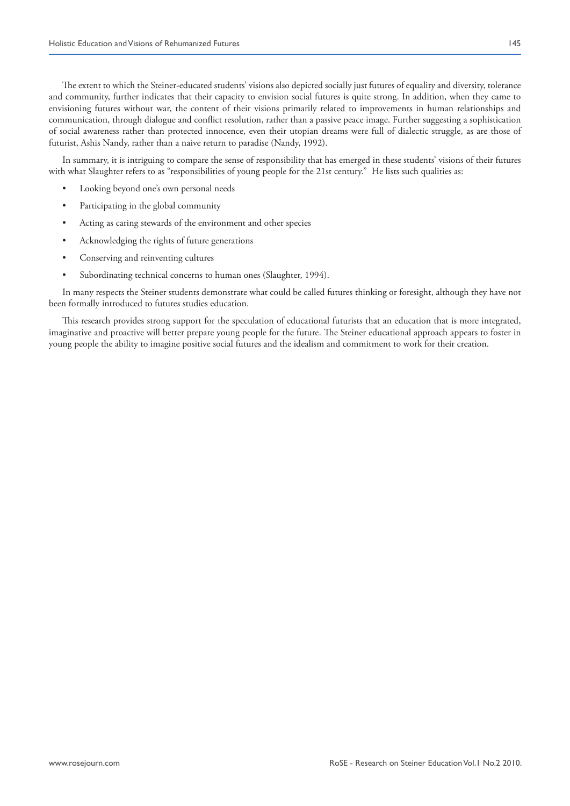The extent to which the Steiner-educated students' visions also depicted socially just futures of equality and diversity, tolerance and community, further indicates that their capacity to envision social futures is quite strong. In addition, when they came to envisioning futures without war, the content of their visions primarily related to improvements in human relationships and communication, through dialogue and conflict resolution, rather than a passive peace image. Further suggesting a sophistication of social awareness rather than protected innocence, even their utopian dreams were full of dialectic struggle, as are those of futurist, Ashis Nandy, rather than a naive return to paradise (Nandy, 1992).

In summary, it is intriguing to compare the sense of responsibility that has emerged in these students' visions of their futures with what Slaughter refers to as "responsibilities of young people for the 21st century." He lists such qualities as:

- • Looking beyond one's own personal needs
- Participating in the global community
- Acting as caring stewards of the environment and other species
- Acknowledging the rights of future generations
- Conserving and reinventing cultures
- • Subordinating technical concerns to human ones (Slaughter, 1994).

In many respects the Steiner students demonstrate what could be called futures thinking or foresight, although they have not been formally introduced to futures studies education.

This research provides strong support for the speculation of educational futurists that an education that is more integrated, imaginative and proactive will better prepare young people for the future. The Steiner educational approach appears to foster in young people the ability to imagine positive social futures and the idealism and commitment to work for their creation.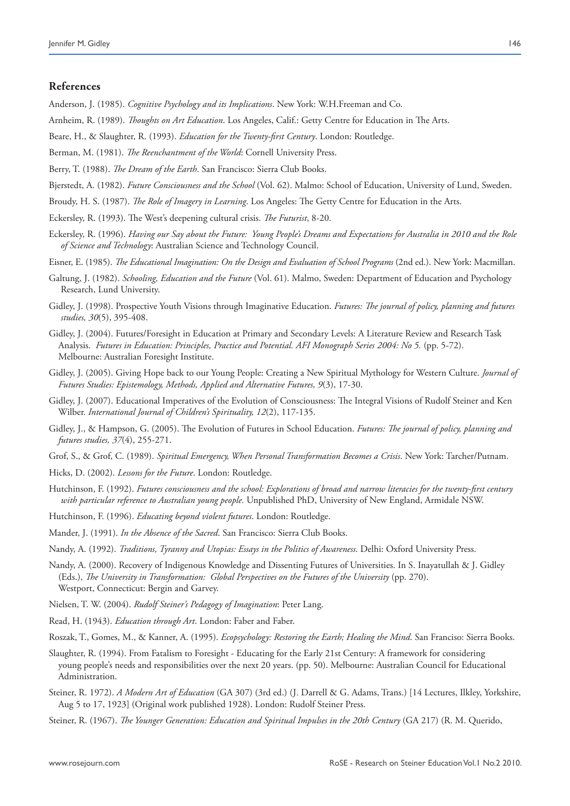## **References**

Anderson, J. (1985). *Cognitive Psychology and its Implications*. New York: W.H.Freeman and Co.

- Arnheim, R. (1989). *Thoughts on Art Education*. Los Angeles, Calif.: Getty Centre for Education in The Arts.
- Beare, H., & Slaughter, R. (1993). *Education for the Twenty-first Century*. London: Routledge.
- Berman, M. (1981). *The Reenchantment of the World*: Cornell University Press.
- Berry, T. (1988). *The Dream of the Earth*. San Francisco: Sierra Club Books.
- Bjerstedt, A. (1982). *Future Consciousness and the School* (Vol. 62). Malmo: School of Education, University of Lund, Sweden.
- Broudy, H. S. (1987). *The Role of Imagery in Learning*. Los Angeles: The Getty Centre for Education in the Arts.
- Eckersley, R. (1993). The West's deepening cultural crisis. *The Futurist*, 8-20.
- Eckersley, R. (1996). *Having our Say about the Future: Young People's Dreams and Expectations for Australia in 2010 and the Role of Science and Technology*: Australian Science and Technology Council.
- Eisner, E. (1985). *The Educational Imagination: On the Design and Evaluation of School Programs* (2nd ed.). New York: Macmillan.
- Galtung, J. (1982). *Schooling, Education and the Future* (Vol. 61). Malmo, Sweden: Department of Education and Psychology Research, Lund University.
- Gidley, J. (1998). Prospective Youth Visions through Imaginative Education. *Futures: The journal of policy, planning and futures studies, 30*(5), 395-408.
- Gidley, J. (2004). Futures/Foresight in Education at Primary and Secondary Levels: A Literature Review and Research Task Analysis. *Futures in Education: Principles, Practice and Potential. AFI Monograph Series 2004: No 5.* (pp. 5-72). Melbourne: Australian Foresight Institute.
- Gidley, J. (2005). Giving Hope back to our Young People: Creating a New Spiritual Mythology for Western Culture. *Journal of Futures Studies: Epistemology, Methods, Applied and Alternative Futures, 9*(3), 17-30.
- Gidley, J. (2007). Educational Imperatives of the Evolution of Consciousness: The Integral Visions of Rudolf Steiner and Ken Wilber. *International Journal of Children's Spirituality, 12*(2), 117-135.
- Gidley, J., & Hampson, G. (2005). The Evolution of Futures in School Education. *Futures: The journal of policy, planning and futures studies, 37*(4), 255-271.
- Grof, S., & Grof, C. (1989). *Spiritual Emergency, When Personal Transformation Becomes a Crisis*. New York: Tarcher/Putnam.
- Hicks, D. (2002). *Lessons for the Future*. London: Routledge.
- Hutchinson, F. (1992). *Futures consciousness and the school: Explorations of broad and narrow literacies for the twenty-first century with particular reference to Australian young people.* Unpublished PhD, University of New England, Armidale NSW.
- Hutchinson, F. (1996). *Educating beyond violent futures*. London: Routledge.
- Mander, J. (1991). *In the Absence of the Sacred*. San Francisco: Sierra Club Books.
- Nandy, A. (1992). *Traditions, Tyranny and Utopias: Essays in the Politics of Awareness*. Delhi: Oxford University Press.
- Nandy, A. (2000). Recovery of Indigenous Knowledge and Dissenting Futures of Universities. In S. Inayatullah & J. Gidley (Eds.), *The University in Transformation: Global Perspectives on the Futures of the University* (pp. 270). Westport, Connecticut: Bergin and Garvey.
- Nielsen, T. W. (2004). *Rudolf Steiner's Pedagogy of Imagination*: Peter Lang.
- Read, H. (1943). *Education through Art*. London: Faber and Faber.
- Roszak, T., Gomes, M., & Kanner, A. (1995). *Ecopsychology: Restoring the Earth; Healing the Mind*. San Franciso: Sierra Books.
- Slaughter, R. (1994). From Fatalism to Foresight Educating for the Early 21st Century: A framework for considering young people's needs and responsibilities over the next 20 years. (pp. 50). Melbourne: Australian Council for Educational Administration.
- Steiner, R. 1972). *A Modern Art of Education* (GA 307) (3rd ed.) (J. Darrell & G. Adams, Trans.) [14 Lectures, Ilkley, Yorkshire, Aug 5 to 17, 1923] (Original work published 1928). London: Rudolf Steiner Press.
- Steiner, R. (1967). *The Younger Generation: Education and Spiritual Impulses in the 20th Century* (GA 217) (R. M. Querido,